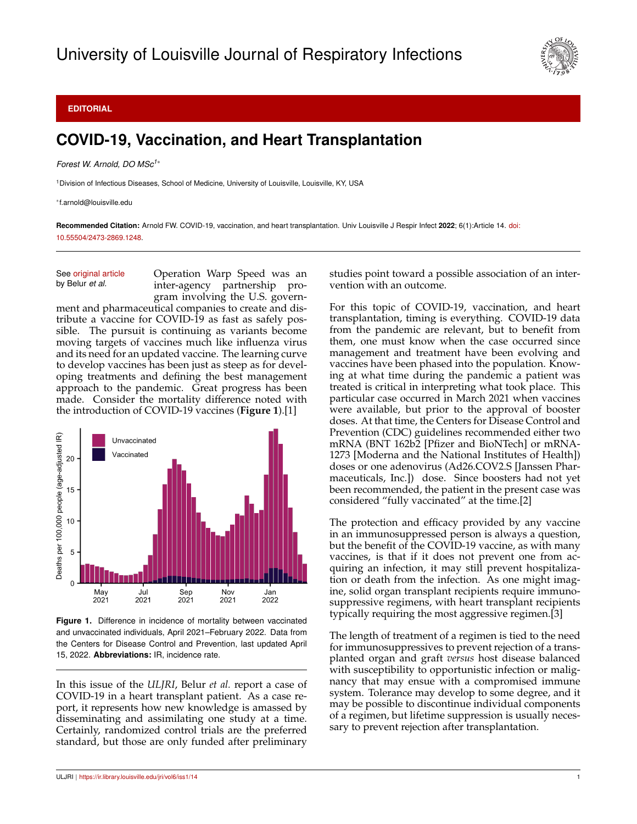

## **EDITORIAL**

## **COVID-19, Vaccination, and Heart Transplantation**

*Forest W. Arnold, DO MSc1*<sup>∗</sup>

<sup>1</sup>Division of Infectious Diseases, School of Medicine, University of Louisville, Louisville, KY, USA

∗ f.arnold@louisville.edu

**Recommended Citation:** Arnold FW. COVID-19, vaccination, and heart transplantation. Univ Louisville J Respir Infect **2022**; 6(1):Article 14. [doi:](http://dx.doi.org/10.55504/2473-2869.\submissionno ) [10.55504/2473-2869.1248.](http://dx.doi.org/10.55504/2473-2869.\submissionno )

See [original article](https://ir.library.louisville.edu/jri/vol6/iss1/13) by Belur *et al.*

Operation Warp Speed was an inter-agency partnership program involving the U.S. govern-

ment and pharmaceutical companies to create and distribute a vaccine for COVID-19 as fast as safely possible. The pursuit is continuing as variants become moving targets of vaccines much like influenza virus and its need for an updated vaccine. The learning curve to develop vaccines has been just as steep as for developing treatments and defining the best management approach to the pandemic. Great progress has been made. Consider the mortality difference noted with the introduction of COVID-19 vaccines (**Figure 1**).[1]



**Figure 1.** Difference in incidence of mortality between vaccinated and unvaccinated individuals, April 2021–February 2022. Data from the Centers for Disease Control and Prevention, last updated April 15, 2022. **Abbreviations:** IR, incidence rate.

In this issue of the *ULJRI*, Belur *et al.* report a case of COVID-19 in a heart transplant patient. As a case report, it represents how new knowledge is amassed by disseminating and assimilating one study at a time. Certainly, randomized control trials are the preferred standard, but those are only funded after preliminary studies point toward a possible association of an intervention with an outcome.

For this topic of COVID-19, vaccination, and heart transplantation, timing is everything. COVID-19 data from the pandemic are relevant, but to benefit from them, one must know when the case occurred since management and treatment have been evolving and vaccines have been phased into the population. Knowing at what time during the pandemic a patient was treated is critical in interpreting what took place. This particular case occurred in March 2021 when vaccines were available, but prior to the approval of booster doses. At that time, the Centers for Disease Control and Prevention (CDC) guidelines recommended either two mRNA (BNT 162b2 [Pfizer and BioNTech] or mRNA-1273 [Moderna and the National Institutes of Health]) doses or one adenovirus (Ad26.COV2.S [Janssen Pharmaceuticals, Inc.]) dose. Since boosters had not yet been recommended, the patient in the present case was considered "fully vaccinated" at the time.[2]

The protection and efficacy provided by any vaccine in an immunosuppressed person is always a question, but the benefit of the COVID-19 vaccine, as with many vaccines, is that if it does not prevent one from acquiring an infection, it may still prevent hospitalization or death from the infection. As one might imagine, solid organ transplant recipients require immunosuppressive regimens, with heart transplant recipients typically requiring the most aggressive regimen.[3]

The length of treatment of a regimen is tied to the need for immunosuppressives to prevent rejection of a transplanted organ and graft *versus* host disease balanced with susceptibility to opportunistic infection or malignancy that may ensue with a compromised immune system. Tolerance may develop to some degree, and it may be possible to discontinue individual components of a regimen, but lifetime suppression is usually necessary to prevent rejection after transplantation.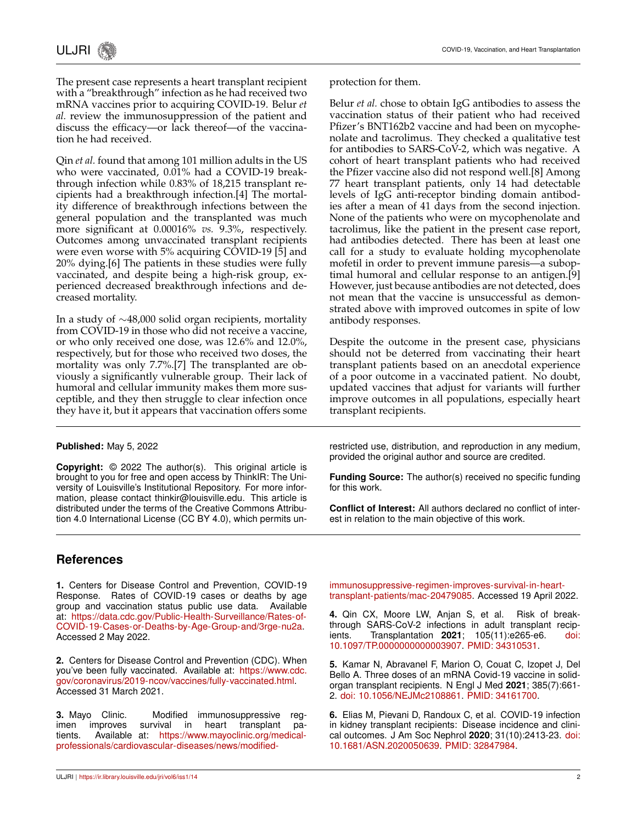The present case represents a heart transplant recipient with a "breakthrough" infection as he had received two mRNA vaccines prior to acquiring COVID-19. Belur *et al.* review the immunosuppression of the patient and discuss the efficacy—or lack thereof—of the vaccination he had received.

Qin *et al.* found that among 101 million adults in the US who were vaccinated, 0.01% had a COVID-19 breakthrough infection while 0.83% of 18,215 transplant recipients had a breakthrough infection.[4] The mortality difference of breakthrough infections between the general population and the transplanted was much more significant at 0.00016% *vs.* 9.3%, respectively. Outcomes among unvaccinated transplant recipients were even worse with 5% acquiring COVID-19 [5] and 20% dying.[6] The patients in these studies were fully vaccinated, and despite being a high-risk group, experienced decreased breakthrough infections and decreased mortality.

In a study of ∼48,000 solid organ recipients, mortality from COVID-19 in those who did not receive a vaccine, or who only received one dose, was 12.6% and 12.0%, respectively, but for those who received two doses, the mortality was only 7.7%.[7] The transplanted are obviously a significantly vulnerable group. Their lack of humoral and cellular immunity makes them more susceptible, and they then struggle to clear infection once they have it, but it appears that vaccination offers some protection for them.

Belur *et al.* chose to obtain IgG antibodies to assess the vaccination status of their patient who had received Pfizer's BNT162b2 vaccine and had been on mycophenolate and tacrolimus. They checked a qualitative test for antibodies to SARS-CoV-2, which was negative. A cohort of heart transplant patients who had received the Pfizer vaccine also did not respond well.[8] Among 77 heart transplant patients, only 14 had detectable levels of IgG anti-receptor binding domain antibodies after a mean of 41 days from the second injection. None of the patients who were on mycophenolate and tacrolimus, like the patient in the present case report, had antibodies detected. There has been at least one call for a study to evaluate holding mycophenolate mofetil in order to prevent immune paresis—a suboptimal humoral and cellular response to an antigen.[9] However, just because antibodies are not detected, does not mean that the vaccine is unsuccessful as demonstrated above with improved outcomes in spite of low antibody responses.

Despite the outcome in the present case, physicians should not be deterred from vaccinating their heart transplant patients based on an anecdotal experience of a poor outcome in a vaccinated patient. No doubt, updated vaccines that adjust for variants will further improve outcomes in all populations, especially heart transplant recipients.

## **Published:** May 5, 2022

**Copyright:** © 2022 The author(s). This original article is brought to you for free and open access by ThinkIR: The University of Louisville's Institutional Repository. For more information, please contact thinkir@louisville.edu. This article is distributed under the terms of the Creative Commons Attribution 4.0 International License (CC BY 4.0), which permits unrestricted use, distribution, and reproduction in any medium, provided the original author and source are credited.

**Funding Source:** The author(s) received no specific funding for this work.

**Conflict of Interest:** All authors declared no conflict of interest in relation to the main objective of this work.

## **References**

**1.** Centers for Disease Control and Prevention, COVID-19 Response. Rates of COVID-19 cases or deaths by age group and vaccination status public use data. Available at: [https://data.cdc.gov/Public-Health-Surveillance/Rates-of-](https://data.cdc.gov/Public-Health-Surveillance/Rates-of-COVID-19-Cases-or-Deaths-by-Age-Group-and/3rge-nu2a)[COVID-19-Cases-or-Deaths-by-Age-Group-and/3rge-nu2a.](https://data.cdc.gov/Public-Health-Surveillance/Rates-of-COVID-19-Cases-or-Deaths-by-Age-Group-and/3rge-nu2a) Accessed 2 May 2022.

**2.** Centers for Disease Control and Prevention (CDC). When you've been fully vaccinated. Available at: [https://www.cdc.](https://www.cdc.gov/coronavirus/2019-ncov/vaccines/fully-vaccinated.html) [gov/coronavirus/2019-ncov/vaccines/fully-vaccinated.html.](https://www.cdc.gov/coronavirus/2019-ncov/vaccines/fully-vaccinated.html) Accessed 31 March 2021.

**3.** Mayo Clinic. Modified immunosuppressive regimen improves survival in heart transplant patients. Available at: [https://www.mayoclinic.org/medical](https://www.mayoclinic.org/medical-professionals/cardiovascular-diseases/news/modified-immunosuppressive-regimen-improves-survival-in-heart-transplant-patients/mac-20479085)[professionals/cardiovascular-diseases/news/modified-](https://www.mayoclinic.org/medical-professionals/cardiovascular-diseases/news/modified-immunosuppressive-regimen-improves-survival-in-heart-transplant-patients/mac-20479085) [immunosuppressive-regimen-improves-survival-in-heart](https://www.mayoclinic.org/medical-professionals/cardiovascular-diseases/news/modified-immunosuppressive-regimen-improves-survival-in-heart-transplant-patients/mac-20479085)[transplant-patients/mac-20479085.](https://www.mayoclinic.org/medical-professionals/cardiovascular-diseases/news/modified-immunosuppressive-regimen-improves-survival-in-heart-transplant-patients/mac-20479085) Accessed 19 April 2022.

**4.** Qin CX, Moore LW, Anjan S, et al. Risk of breakthrough SARS-CoV-2 infections in adult transplant recipients. Transplantation **2021**; 105(11):e265-e6. [doi:](http://dx.doi.org/10.1097/TP.0000000000003907) [10.1097/TP.0000000000003907.](http://dx.doi.org/10.1097/TP.0000000000003907) [PMID: 34310531.](https://pubmed.ncbi.nlm.nih.gov/34310531/)

**5.** Kamar N, Abravanel F, Marion O, Couat C, Izopet J, Del Bello A. Three doses of an mRNA Covid-19 vaccine in solidorgan transplant recipients. N Engl J Med **2021**; 385(7):661- 2. [doi: 10.1056/NEJMc2108861.](http://dx.doi.org/10.1056/NEJMc2108861) [PMID: 34161700.](https://pubmed.ncbi.nlm.nih.gov/34161700/)

**6.** Elias M, Pievani D, Randoux C, et al. COVID-19 infection in kidney transplant recipients: Disease incidence and clinical outcomes. J Am Soc Nephrol **2020**; 31(10):2413-23. [doi:](http://dx.doi.org/10.1681/ASN.2020050639) [10.1681/ASN.2020050639.](http://dx.doi.org/10.1681/ASN.2020050639) [PMID: 32847984.](https://pubmed.ncbi.nlm.nih.gov/32847984/)